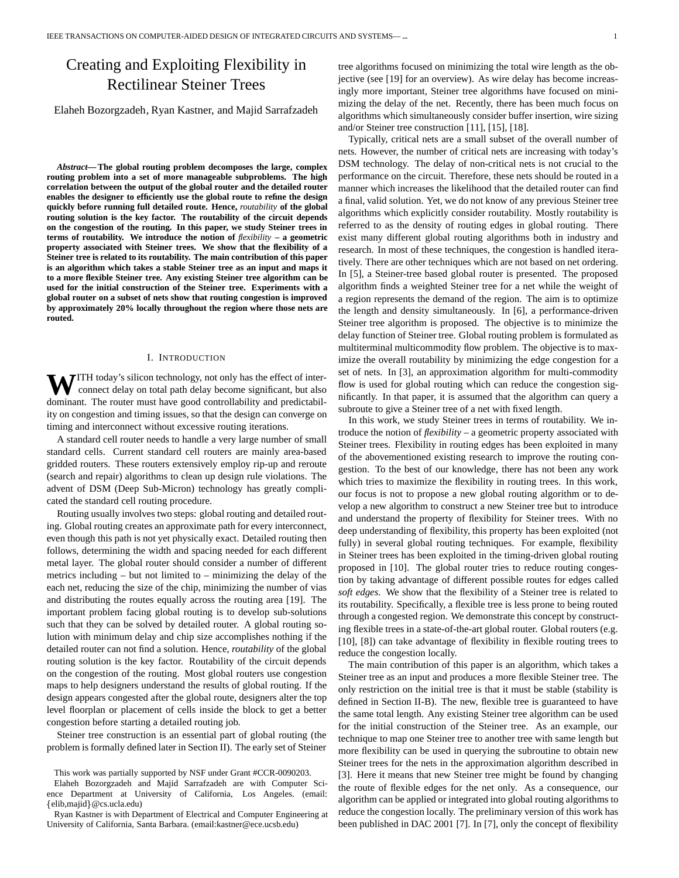# Creating and Exploiting Flexibility in Rectilinear Steiner Trees

Elaheh Bozorgzadeh, Ryan Kastner, and Majid Sarrafzadeh

*Abstract***— The global routing problem decomposes the large, complex routing problem into a set of more manageable subproblems. The high correlation between the output of the global router and the detailed router enables the designer to efficiently use the global route to refine the design quickly before running full detailed route. Hence,** *routability* **of the global routing solution is the key factor. The routability of the circuit depends on the congestion of the routing. In this paper, we study Steiner trees in terms of routability. We introduce the notion of** *flexibility* **– a geometric property associated with Steiner trees. We show that the flexibility of a Steiner tree is related to its routability. The main contribution of this paper is an algorithm which takes a stable Steiner tree as an input and maps it to a more flexible Steiner tree. Any existing Steiner tree algorithm can be used for the initial construction of the Steiner tree. Experiments with a global router on a subset of nets show that routing congestion is improved by approximately 20% locally throughout the region where those nets are routed.**

## I. INTRODUCTION

**WITH** today's silicon technology, not only has the effect of interconnect delay on total path delay become significant, but also dominant. The router must have good controllability and predictability on congestion and timing issues, so that the design can converge on timing and interconnect without excessive routing iterations.

A standard cell router needs to handle a very large number of small standard cells. Current standard cell routers are mainly area-based gridded routers. These routers extensively employ rip-up and reroute (search and repair) algorithms to clean up design rule violations. The advent of DSM (Deep Sub-Micron) technology has greatly complicated the standard cell routing procedure.

Routing usually involves two steps: global routing and detailed routing. Global routing creates an approximate path for every interconnect, even though this path is not yet physically exact. Detailed routing then follows, determining the width and spacing needed for each different metal layer. The global router should consider a number of different metrics including – but not limited to – minimizing the delay of the each net, reducing the size of the chip, minimizing the number of vias and distributing the routes equally across the routing area [19]. The important problem facing global routing is to develop sub-solutions such that they can be solved by detailed router. A global routing solution with minimum delay and chip size accomplishes nothing if the detailed router can not find a solution. Hence, *routability* of the global routing solution is the key factor. Routability of the circuit depends on the congestion of the routing. Most global routers use congestion maps to help designers understand the results of global routing. If the design appears congested after the global route, designers alter the top level floorplan or placement of cells inside the block to get a better congestion before starting a detailed routing job.

Steiner tree construction is an essential part of global routing (the problem is formally defined later in Section II). The early set of Steiner

tree algorithms focused on minimizing the total wire length as the objective (see [19] for an overview). As wire delay has become increasingly more important, Steiner tree algorithms have focused on minimizing the delay of the net. Recently, there has been much focus on algorithms which simultaneously consider buffer insertion, wire sizing and/or Steiner tree construction [11], [15], [18].

Typically, critical nets are a small subset of the overall number of nets. However, the number of critical nets are increasing with today's DSM technology. The delay of non-critical nets is not crucial to the performance on the circuit. Therefore, these nets should be routed in a manner which increases the likelihood that the detailed router can find a final, valid solution. Yet, we do not know of any previous Steiner tree algorithms which explicitly consider routability. Mostly routability is referred to as the density of routing edges in global routing. There exist many different global routing algorithms both in industry and research. In most of these techniques, the congestion is handled iteratively. There are other techniques which are not based on net ordering. In [5], a Steiner-tree based global router is presented. The proposed algorithm finds a weighted Steiner tree for a net while the weight of a region represents the demand of the region. The aim is to optimize the length and density simultaneously. In [6], a performance-driven Steiner tree algorithm is proposed. The objective is to minimize the delay function of Steiner tree. Global routing problem is formulated as multiterminal multicommodity flow problem. The objective is to maximize the overall routability by minimizing the edge congestion for a set of nets. In [3], an approximation algorithm for multi-commodity flow is used for global routing which can reduce the congestion significantly. In that paper, it is assumed that the algorithm can query a subroute to give a Steiner tree of a net with fixed length.

In this work, we study Steiner trees in terms of routability. We introduce the notion of *flexibility* – a geometric property associated with Steiner trees. Flexibility in routing edges has been exploited in many of the abovementioned existing research to improve the routing congestion. To the best of our knowledge, there has not been any work which tries to maximize the flexibility in routing trees. In this work, our focus is not to propose a new global routing algorithm or to develop a new algorithm to construct a new Steiner tree but to introduce and understand the property of flexibility for Steiner trees. With no deep understanding of flexibility, this property has been exploited (not fully) in several global routing techniques. For example, flexibility in Steiner trees has been exploited in the timing-driven global routing proposed in [10]. The global router tries to reduce routing congestion by taking advantage of different possible routes for edges called *soft edges*. We show that the flexibility of a Steiner tree is related to its routability. Specifically, a flexible tree is less prone to being routed through a congested region. We demonstrate this concept by constructing flexible trees in a state-of-the-art global router. Global routers (e.g. [10], [8]) can take advantage of flexibility in flexible routing trees to reduce the congestion locally.

The main contribution of this paper is an algorithm, which takes a Steiner tree as an input and produces a more flexible Steiner tree. The only restriction on the initial tree is that it must be stable (stability is defined in Section II-B). The new, flexible tree is guaranteed to have the same total length. Any existing Steiner tree algorithm can be used for the initial construction of the Steiner tree. As an example, our technique to map one Steiner tree to another tree with same length but more flexibility can be used in querying the subroutine to obtain new Steiner trees for the nets in the approximation algorithm described in [3]. Here it means that new Steiner tree might be found by changing the route of flexible edges for the net only. As a consequence, our algorithm can be applied or integrated into global routing algorithms to reduce the congestion locally. The preliminary version of this work has been published in DAC 2001 [7]. In [7], only the concept of flexibility

This work was partially supported by NSF under Grant #CCR-0090203.

Elaheh Bozorgzadeh and Majid Sarrafzadeh are with Computer Science Department at University of California, Los Angeles. (email: {elib,majid}@cs.ucla.edu)

Ryan Kastner is with Department of Electrical and Computer Engineering at University of California, Santa Barbara. (email:kastner@ece.ucsb.edu)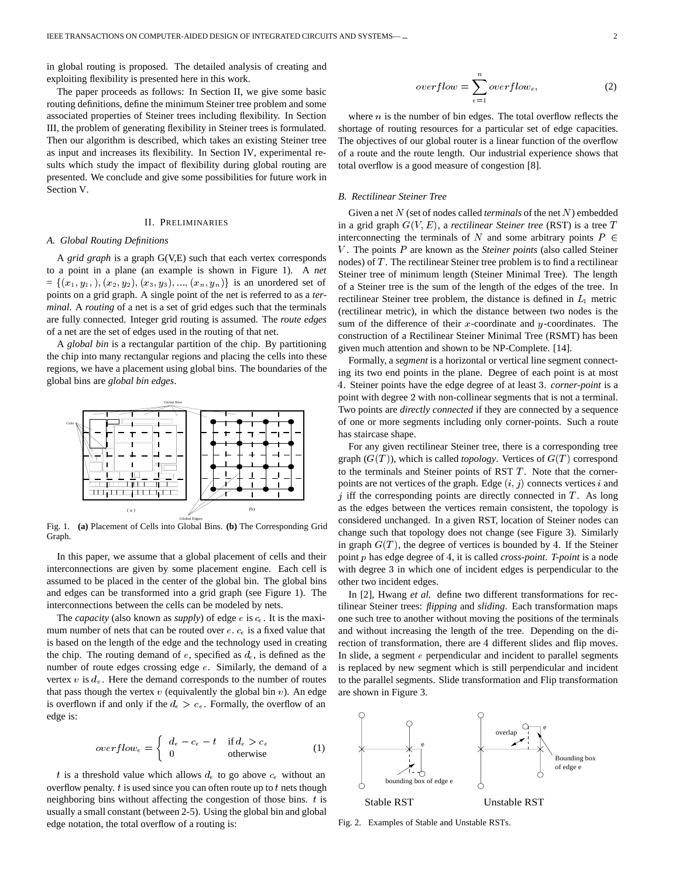in global routing is proposed. The detailed analysis of creating and exploiting flexibility is presented here in this work.

The paper proceeds as follows: In Section II, we give some basic routing definitions, define the minimum Steiner tree problem and some associated properties of Steiner trees including flexibility. In Section III, the problem of generating flexibility in Steiner trees is formulated. Then our algorithm is described, which takes an existing Steiner tree as input and increases its flexibility. In Section IV, experimental results which study the impact of flexibility during global routing are presented. We conclude and give some possibilities for future work in Section V.

#### II. PRELIMINARIES

## *A. Global Routing Definitions*

A *grid graph* is a graph G(V,E) such that each vertex corresponds to a point in a plane (an example is shown in Figure 1). A *net*  $=\{(x_1,y_1), (x_2,y_2), (x_3,y_3), ..., (x_n,y_n)\}\$ is an unordered set of points on a grid graph. A single point of the net is referred to as a *terminal*. A *routing* of a net is a set of grid edges such that the terminals are fully connected. Integer grid routing is assumed. The *route edges* of a net are the set of edges used in the routing of that net.

A *global bin* is a rectangular partition of the chip. By partitioning the chip into many rectangular regions and placing the cells into these regions, we have a placement using global bins. The boundaries of the global bins are *global bin edges*.



Fig. 1. **(a)** Placement of Cells into Global Bins. **(b)** The Corresponding Grid Graph.

In this paper, we assume that a global placement of cells and their interconnections are given by some placement engine. Each cell is assumed to be placed in the center of the global bin. The global bins and edges can be transformed into a grid graph (see Figure 1). The interconnections between the cells can be modeled by nets.

The *capacity* (also known as *supply*) of edge  $e$  is  $c_e$ . It is the maximum number of nets that can be routed over  $e$ .  $c_e$  is a fixed value that is based on the length of the edge and the technology used in creating the chip. The routing demand of e, specified as  $d_{\epsilon}$ , is defined as the number of route edges crossing edge <sup>e</sup>. Similarly, the demand of a vertex  $v$  is  $d_v$ . Here the demand corresponds to the number of routes that pass though the vertex  $v$  (equivalently the global bin  $v$ ). An edge is overflown if and only if the  $d_e > c_e$ . Formally, the overflow of an edge is:

$$
overflow_e = \begin{cases} d_e - c_e - t & \text{if } d_e > c_e \\ 0 & \text{otherwise} \end{cases}
$$
 (1)

t is a threshold value which allows  $d_e$  to go above  $c_e$  without an overflow penalty.  $t$  is used since you can often route up to  $t$  nets though neighboring bins without affecting the congestion of those bins.  $t$  is usually a small constant (between 2-5). Using the global bin and global edge notation, the total overflow of a routing is:

$$
overflow = \sum_{e=1}^{N} overflow_e, \qquad (2)
$$

where  $n$  is the number of bin edges. The total overflow reflects the shortage of routing resources for a particular set of edge capacities. The objectives of our global router is a linear function of the overflow of a route and the route length. Our industrial experience shows that total overflow is a good measure of congestion [8].

# *B. Rectilinear Steiner Tree*

Given a net <sup>N</sup> (set of nodes called *terminals* of the net <sup>N</sup>) embedded in a grid graph  $G(V, E)$ , a *rectilinear Steiner tree* (RST) is a tree  $T$ interconnecting the terminals of N and some arbitrary points  $P \in$ V . The points <sup>P</sup> are known as the *Steiner points* (also called Steiner nodes) of  $T$ . The rectilinear Steiner tree problem is to find a rectilinear Steiner tree of minimum length (Steiner Minimal Tree). The length of a Steiner tree is the sum of the length of the edges of the tree. In rectilinear Steiner tree problem, the distance is defined in  $L_1$  metric (rectilinear metric), in which the distance between two nodes is the sum of the difference of their  $x$ -coordinate and  $y$ -coordinates. The construction of a Rectilinear Steiner Minimal Tree (RSMT) has been given much attention and shown to be NP-Complete. [14].

Formally, a *segment* is a horizontal or vertical line segment connecting its two end points in the plane. Degree of each point is at most . Steiner points have the edge degree of at least . *corner-point* is a point with degree 2 with non-collinear segments that is not a terminal. Two points are *directly connected* if they are connected by a sequence of one or more segments including only corner-points. Such a route has staircase shape.

For any given rectilinear Steiner tree, there is a corresponding tree graph  $(G(T))$ , which is called *topology*. Vertices of  $G(T)$  correspond to the terminals and Steiner points of RST  $T$ . Note that the cornerpoints are not vertices of the graph. Edge  $(i, j)$  connects vertices  $i$  and  $j$  iff the corresponding points are directly connected in  $T$ . As long as the edges between the vertices remain consistent, the topology is considered unchanged. In a given RST, location of Steiner nodes can change such that topology does not change (see Figure 3). Similarly in graph  $G(T)$ , the degree of vertices is bounded by 4. If the Steiner point p has edge degree of 4, it is called *cross-point*. *T-point* is a node with degree 3 in which one of incident edges is perpendicular to the other two incident edges.

In [2], Hwang *et al.* define two different transformations for rectilinear Steiner trees: *flipping* and *sliding*. Each transformation maps one such tree to another without moving the positions of the terminals and without increasing the length of the tree. Depending on the direction of transformation, there are 4 different slides and flip moves. In slide, a segment <sup>e</sup> perpendicular and incident to parallel segments is replaced by new segment which is still perpendicular and incident to the parallel segments. Slide transformation and Flip transformation are shown in Figure 3.

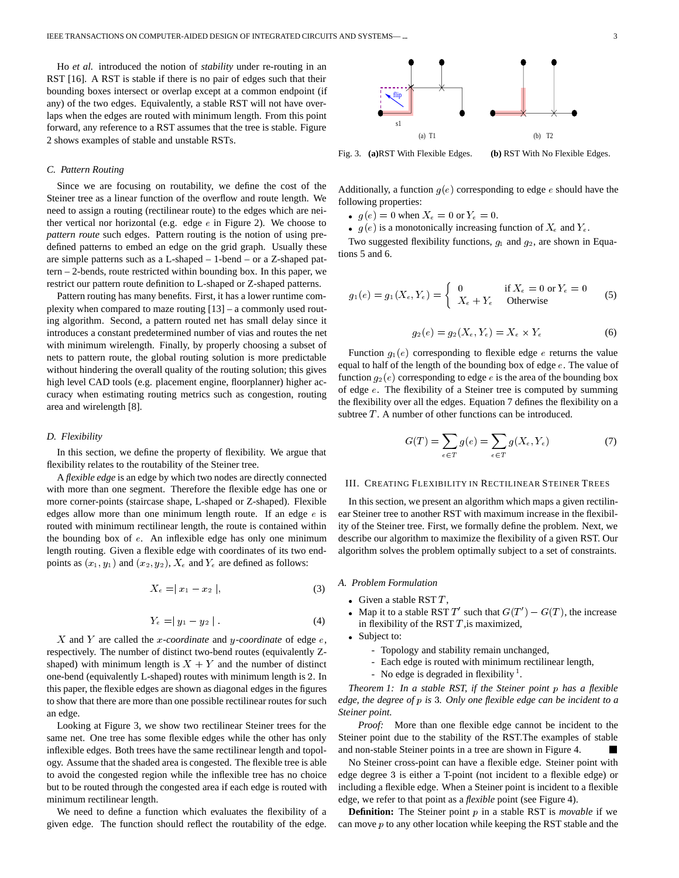Ho *et al.* introduced the notion of *stability* under re-routing in an RST [16]. A RST is stable if there is no pair of edges such that their bounding boxes intersect or overlap except at a common endpoint (if any) of the two edges. Equivalently, a stable RST will not have overlaps when the edges are routed with minimum length. From this point forward, any reference to a RST assumes that the tree is stable. Figure 2 shows examples of stable and unstable RSTs.

## *C. Pattern Routing*

Since we are focusing on routability, we define the cost of the Steiner tree as a linear function of the overflow and route length. We need to assign a routing (rectilinear route) to the edges which are neither vertical nor horizontal (e.g. edge  $e$  in Figure 2). We choose to *pattern route* such edges. Pattern routing is the notion of using predefined patterns to embed an edge on the grid graph. Usually these are simple patterns such as a L-shaped – 1-bend – or a Z-shaped pattern – 2-bends, route restricted within bounding box. In this paper, we restrict our pattern route definition to L-shaped or Z-shaped patterns.

Pattern routing has many benefits. First, it has a lower runtime complexity when compared to maze routing [13] – a commonly used routing algorithm. Second, a pattern routed net has small delay since it introduces a constant predetermined number of vias and routes the net with minimum wirelength. Finally, by properly choosing a subset of nets to pattern route, the global routing solution is more predictable without hindering the overall quality of the routing solution; this gives high level CAD tools (e.g. placement engine, floorplanner) higher accuracy when estimating routing metrics such as congestion, routing area and wirelength [8].

# *D. Flexibility*

In this section, we define the property of flexibility. We argue that flexibility relates to the routability of the Steiner tree.

A *flexible edge* is an edge by which two nodes are directly connected with more than one segment. Therefore the flexible edge has one or more corner-points (staircase shape, L-shaped or Z-shaped). Flexible edges allow more than one minimum length route. If an edge  $e$  is routed with minimum rectilinear length, the route is contained within the bounding box of  $e$ . An inflexible edge has only one minimum length routing. Given a flexible edge with coordinates of its two endpoints as  $(x_1, y_1)$  and  $(x_2, y_2)$ ,  $X_e$  and  $Y_e$  are defined as follows:

$$
X_e = |x_1 - x_2|,\tag{3}
$$

$$
Y_e = |y_1 - y_2| \tag{4}
$$

X and <sup>Y</sup> are called the <sup>x</sup>*-coordinate* and <sup>y</sup>*-coordinate* of edge <sup>e</sup>, respectively. The number of distinct two-bend routes (equivalently Zshaped) with minimum length is  $X + Y$  and the number of distinct one-bend (equivalently L-shaped) routes with minimum length is 2. In this paper, the flexible edges are shown as diagonal edges in the figures to show that there are more than one possible rectilinear routes for such an edge.

Looking at Figure 3, we show two rectilinear Steiner trees for the same net. One tree has some flexible edges while the other has only inflexible edges. Both trees have the same rectilinear length and topology. Assume that the shaded area is congested. The flexible tree is able to avoid the congested region while the inflexible tree has no choice but to be routed through the congested area if each edge is routed with minimum rectilinear length.

We need to define a function which evaluates the flexibility of a given edge. The function should reflect the routability of the edge.



Fig. 3. **(a)**RST With Flexible Edges. **(b)** RST With No Flexible Edges.

Additionally, a function  $g(e)$  corresponding to edge e should have the following properties:

- $g(e) = 0$  when  $X_e = 0$  or  $Y_e = 0$ .
- $\bullet$  g(e) is a monotonically increasing function of  $X_e$  and  $Y_e$ .

Two suggested flexibility functions,  $g_1$  and  $g_2$ , are shown in Equations 5 and 6.

$$
g_1(e) = g_1(X_e, Y_e) = \begin{cases} 0 & \text{if } X_e = 0 \text{ or } Y_e = 0\\ X_e + Y_e & \text{Otherwise} \end{cases}
$$
(5)

$$
g_2(e) = g_2(X_e, Y_e) = X_e \times Y_e \tag{6}
$$

Function  $g_1(e)$  corresponding to flexible edge e returns the value equal to half of the length of the bounding box of edge <sup>e</sup>. The value of function  $g_2(e)$  corresponding to edge e is the area of the bounding box of edge <sup>e</sup>. The flexibility of a Steiner tree is computed by summing the flexibility over all the edges. Equation 7 defines the flexibility on a subtree  $T$ . A number of other functions can be introduced.

$$
G(T) = \sum_{e \in T} g(e) = \sum_{e \in T} g(X_e, Y_e)
$$
 (7)

#### III. CREATING FLEXIBILITY IN RECTILINEAR STEINER TREES

In this section, we present an algorithm which maps a given rectilinear Steiner tree to another RST with maximum increase in the flexibility of the Steiner tree. First, we formally define the problem. Next, we describe our algorithm to maximize the flexibility of a given RST. Our algorithm solves the problem optimally subject to a set of constraints.

*A. Problem Formulation*

- Given a stable RST  $T$ ,
- Map it to a stable RST T' such that  $G(T') G(T)$ , the increase in flexibility of the RST  $T$ , is maximized,
- Subject to:
	- Topology and stability remain unchanged,
	- Each edge is routed with minimum rectilinear length,
	- No edge is degraded in flexibility<sup>1</sup>.

*Theorem 1: In a stable RST, if the Steiner point* <sup>p</sup> *has a flexible edge, the degree of* <sup>p</sup> *is . Only one flexible edge can be incident to a Steiner point.*

*Proof:* More than one flexible edge cannot be incident to the Steiner point due to the stability of the RST.The examples of stable and non-stable Steiner points in a tree are shown in Figure 4.

No Steiner cross-point can have a flexible edge. Steiner point with edge degree 3 is either a T-point (not incident to a flexible edge) or including a flexible edge. When a Steiner point is incident to a flexible edge, we refer to that point as a *flexible* point (see Figure 4).

**Definition:** The Steiner point p in a stable RST is *movable* if we can move  $p$  to any other location while keeping the RST stable and the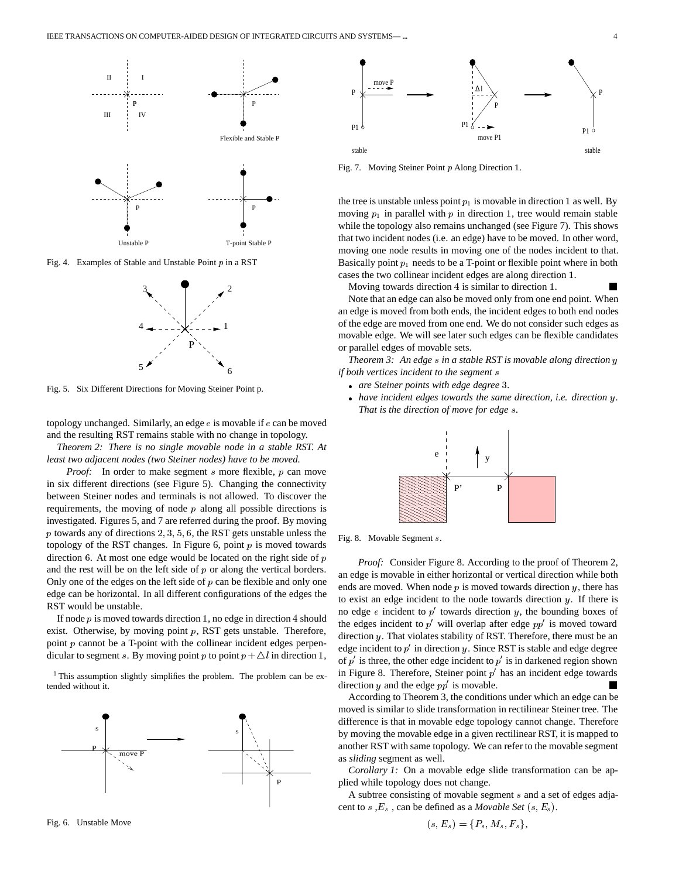

Fig. 4. Examples of Stable and Unstable Point  $p$  in a RST



Fig. 5. Six Different Directions for Moving Steiner Point p.

topology unchanged. Similarly, an edge <sup>e</sup> is movable if <sup>e</sup> can be moved and the resulting RST remains stable with no change in topology.

*Theorem 2: There is no single movable node in a stable RST. At least two adjacent nodes (two Steiner nodes) have to be moved.*

*Proof:* In order to make segment s more flexible, p can move in six different directions (see Figure 5). Changing the connectivity between Steiner nodes and terminals is not allowed. To discover the requirements, the moving of node  $p$  along all possible directions is investigated. Figures 5, and 7 are referred during the proof. By moving p towards any of directions  $2, 3, 5, 6$ , the RST gets unstable unless the topology of the RST changes. In Figure 6, point  $p$  is moved towards direction  $6$ . At most one edge would be located on the right side of  $p$ and the rest will be on the left side of  $p$  or along the vertical borders. Only one of the edges on the left side of  $p$  can be flexible and only one edge can be horizontal. In all different configurations of the edges the RST would be unstable.

If node  $p$  is moved towards direction 1, no edge in direction 4 should exist. Otherwise, by moving point  $p$ , RST gets unstable. Therefore, point  $p$  cannot be a T-point with the collinear incident edges perpendicular to segment s. By moving point p to point  $p + \Delta l$  in direction 1,

<sup>1</sup>This assumption slightly simplifies the problem. The problem can be extended without it.







Fig. 7. Moving Steiner Point p Along Direction 1.

the tree is unstable unless point  $p_1$  is movable in direction 1 as well. By moving  $p_1$  in parallel with  $p$  in direction 1, tree would remain stable while the topology also remains unchanged (see Figure 7). This shows that two incident nodes (i.e. an edge) have to be moved. In other word, moving one node results in moving one of the nodes incident to that. Basically point  $p_1$  needs to be a T-point or flexible point where in both cases the two collinear incident edges are along direction .

Moving towards direction 4 is similar to direction 1.

Note that an edge can also be moved only from one end point. When an edge is moved from both ends, the incident edges to both end nodes of the edge are moved from one end. We do not consider such edges as movable edge. We will see later such edges can be flexible candidates or parallel edges of movable sets.

*Theorem 3: An edge* <sup>s</sup> *in a stable RST is movable along direction* <sup>y</sup> *if both vertices incident to the segment* <sup>s</sup>

- *are Steiner points with edge degree .*
- *have incident edges towards the same direction, i.e. direction* <sup>y</sup>*. That is the direction of move for edge* <sup>s</sup>*.*



Fig. 8. Movable Segment <sup>s</sup>.

*Proof:* Consider Figure 8. According to the proof of Theorem 2, an edge is movable in either horizontal or vertical direction while both ends are moved. When node  $p$  is moved towards direction  $y$ , there has to exist an edge incident to the node towards direction  $y$ . If there is no edge  $e$  incident to  $p'$  towards direction y, the bounding boxes of the edges incident to  $p'$  will overlap after edge  $pp'$  is moved toward direction <sup>y</sup>. That violates stability of RST. Therefore, there must be an edge incident to  $p'$  in direction y. Since RST is stable and edge degree of  $p'$  is three, the other edge incident to  $p'$  is in darkened region shown in Figure 8. Therefore, Steiner point  $p'$  has an incident edge towards direction y and the edge  $pp'$  is movable.

According to Theorem 3, the conditions under which an edge can be moved is similar to slide transformation in rectilinear Steiner tree. The difference is that in movable edge topology cannot change. Therefore by moving the movable edge in a given rectilinear RST, it is mapped to another RST with same topology. We can refer to the movable segment as *sliding* segment as well.

*Corollary 1:* On a movable edge slide transformation can be applied while topology does not change.

A subtree consisting of movable segment <sup>s</sup> and a set of edges adjacent to s,  $E_s$ , can be defined as a *Movable Set*  $(s, E_s)$ .

$$
(s, E_s) = \{P_s, M_s, F_s\},\
$$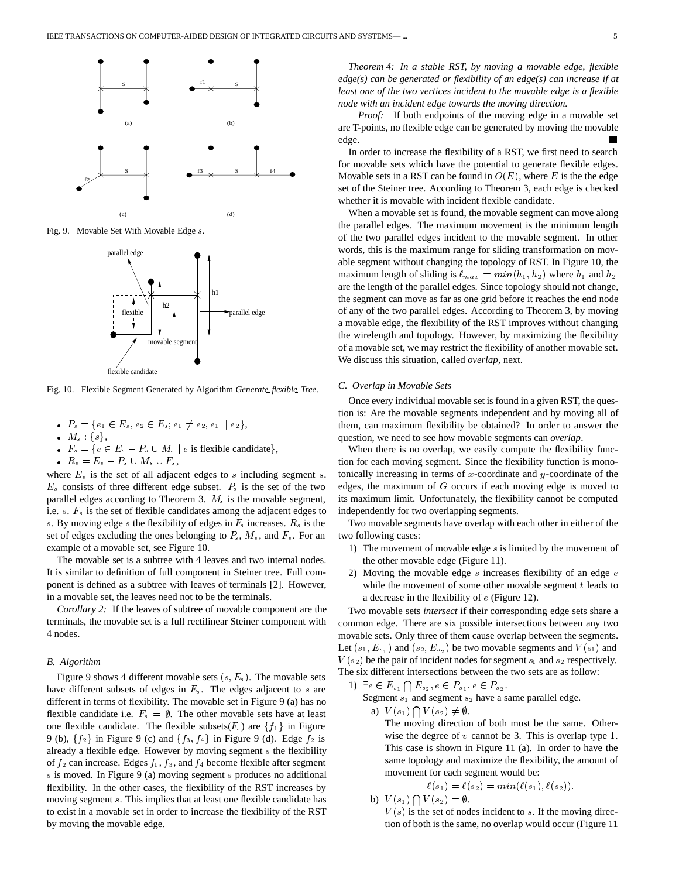

Fig. 9. Movable Set With Movable Edge <sup>s</sup>.



Fig. 10. Flexible Segment Generated by Algorithm *Generate flexible Tree*.

- $P_s = \{e_1 \in E_s, e_2 \in E_s; e_1 \neq e_2, e_1 \parallel e_2\},\$
- $M_s$  : {s},
- $F_s = \{e \in E_s P_s \cup M_s \mid e \text{ is flexible candidate}\},\$
- $R_s = E_s P_s \cup M_s \cup F_s,$

where  $E_s$  is the set of all adjacent edges to s including segment s.  $E_s$  consists of three different edge subset.  $P_s$  is the set of the two parallel edges according to Theorem 3.  $M_s$  is the movable segment, i.e.  $s$ .  $F_s$  is the set of flexible candidates among the adjacent edges to s. By moving edge s the flexibility of edges in  $F_s$  increases.  $R_s$  is the set of edges excluding the ones belonging to  $P_s$ ,  $M_s$ , and  $F_s$ . For an example of a movable set, see Figure 10.

The movable set is a subtree with 4 leaves and two internal nodes. It is similar to definition of full component in Steiner tree. Full component is defined as a subtree with leaves of terminals [2]. However, in a movable set, the leaves need not to be the terminals.

*Corollary 2:* If the leaves of subtree of movable component are the terminals, the movable set is a full rectilinear Steiner component with 4 nodes.

## *B. Algorithm*

Figure 9 shows 4 different movable sets  $(s, E_s)$ . The movable sets have different subsets of edges in  $E_s$ . The edges adjacent to s are different in terms of flexibility. The movable set in Figure 9 (a) has no flexible candidate i.e.  $F_s = \emptyset$ . The other movable sets have at least one flexible candidate. The flexible subsets( $F_s$ ) are  $\{f_1\}$  in Figure 9 (b),  $\{f_2\}$  in Figure 9 (c) and  $\{f_3, f_4\}$  in Figure 9 (d). Edge  $f_2$  is already a flexible edge. However by moving segment <sup>s</sup> the flexibility of  $f_2$  can increase. Edges  $f_1, f_3$ , and  $f_4$  become flexible after segment s is moved. In Figure 9 (a) moving segment s produces no additional flexibility. In the other cases, the flexibility of the RST increases by moving segment <sup>s</sup>. This implies that at least one flexible candidate has to exist in a movable set in order to increase the flexibility of the RST by moving the movable edge.

*Theorem 4: In a stable RST, by moving a movable edge, flexible edge(s) can be generated or flexibility of an edge(s) can increase if at least one of the two vertices incident to the movable edge is a flexible node with an incident edge towards the moving direction.*

*Proof:* If both endpoints of the moving edge in a movable set are T-points, no flexible edge can be generated by moving the movable edge.

In order to increase the flexibility of a RST, we first need to search for movable sets which have the potential to generate flexible edges. Movable sets in a RST can be found in  $O(E)$ , where E is the the edge set of the Steiner tree. According to Theorem 3, each edge is checked whether it is movable with incident flexible candidate.

When a movable set is found, the movable segment can move along the parallel edges. The maximum movement is the minimum length of the two parallel edges incident to the movable segment. In other words, this is the maximum range for sliding transformation on movable segment without changing the topology of RST. In Figure 10, the maximum length of sliding is  $\ell_{max} = min(h_1, h_2)$  where  $h_1$  and  $h_2$ are the length of the parallel edges. Since topology should not change, the segment can move as far as one grid before it reaches the end node of any of the two parallel edges. According to Theorem 3, by moving a movable edge, the flexibility of the RST improves without changing the wirelength and topology. However, by maximizing the flexibility of a movable set, we may restrict the flexibility of another movable set. We discuss this situation, called *overlap*, next.

# *C. Overlap in Movable Sets*

Once every individual movable set is found in a given RST, the question is: Are the movable segments independent and by moving all of them, can maximum flexibility be obtained? In order to answer the question, we need to see how movable segments can *overlap*.

When there is no overlap, we easily compute the flexibility function for each moving segment. Since the flexibility function is monotonically increasing in terms of  $x$ -coordinate and  $y$ -coordinate of the edges, the maximum of <sup>G</sup> occurs if each moving edge is moved to its maximum limit. Unfortunately, the flexibility cannot be computed independently for two overlapping segments.

Two movable segments have overlap with each other in either of the two following cases:

- 1) The movement of movable edge <sup>s</sup> is limited by the movement of the other movable edge (Figure 11).
- 2) Moving the movable edge  $s$  increases flexibility of an edge  $e$ while the movement of some other movable segment  $t$  leads to a decrease in the flexibility of <sup>e</sup> (Figure 12).

Two movable sets *intersect* if their corresponding edge sets share a common edge. There are six possible intersections between any two movable sets. Only three of them cause overlap between the segments. Let  $(s_1, E_{s_1})$  and  $(s_2, E_{s_2})$  be two movable segments and  $V(s_1)$  and  $V(s<sub>2</sub>)$  be the pair of incident nodes for segment  $s<sub>1</sub>$  and  $s<sub>2</sub>$  respectively. The six different intersections between the two sets are as follow:

1)  $\exists e \in E_{s_1} \bigcap E_{s_2}, e \in P_{s_1}, e \in P_{s_2}.$ 

Segment  $s_1$  and segment  $s_2$  have a same parallel edge.

a)  $V(s_1) \bigcap V(s_2) \neq \emptyset$ .

The moving direction of both must be the same. Otherwise the degree of  $v$  cannot be 3. This is overlap type 1. This case is shown in Figure 11 (a). In order to have the same topology and maximize the flexibility, the amount of movement for each segment would be:

$$
\ell(s_1) = \ell(s_2) = \min(\ell(s_1), \ell(s_2)).
$$
  
b)  $V(s_1) \bigcap V(s_2) = \emptyset$ .

 $V(s)$  is the set of nodes incident to s. If the moving direction of both is the same, no overlap would occur (Figure 11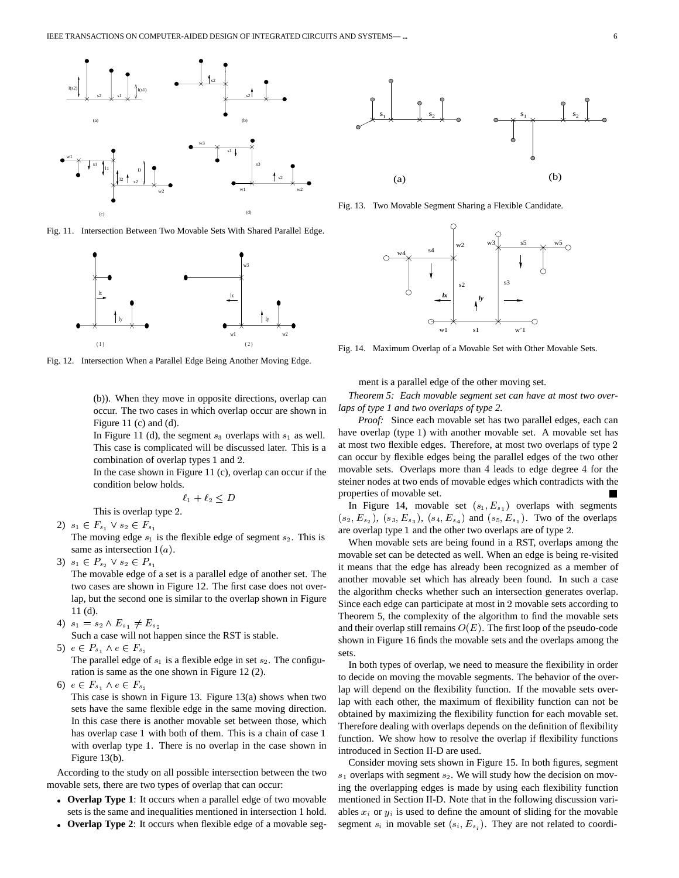

Fig. 11. Intersection Between Two Movable Sets With Shared Parallel Edge.



Fig. 12. Intersection When a Parallel Edge Being Another Moving Edge.

(b)). When they move in opposite directions, overlap can occur. The two cases in which overlap occur are shown in Figure 11 (c) and (d).

In Figure 11 (d), the segment  $s_3$  overlaps with  $s_1$  as well. This case is complicated will be discussed later. This is a combination of overlap types 1 and 2.

In the case shown in Figure 11 (c), overlap can occur if the condition below holds.

$$
\ell_1+\ell_2\leq D
$$

This is overlap type 2.

2)  $s_1 \in F_{s_1} \vee s_2 \in F_{s_1}$ 

The moving edge  $s_1$  is the flexible edge of segment  $s_2$ . This is same as intersection  $1(a)$ .

3)  $s_1 \in P_{s_2} \vee s_2 \in P_{s_1}$ 

The movable edge of a set is a parallel edge of another set. The two cases are shown in Figure 12. The first case does not overlap, but the second one is similar to the overlap shown in Figure 11 (d).

4)  $s_1 = s_2 \wedge E_{s_1} \neq E_{s_2}$ 

Such a case will not happen since the RST is stable.

5)  $e \in P_{s_1} \wedge e \in F_{s_2}$ 

The parallel edge of  $s_1$  is a flexible edge in set  $s_2$ . The configuration is same as the one shown in Figure 12 (2).

6)  $e \in F_{s_1} \wedge e \in F_{s_2}$ 

This case is shown in Figure 13. Figure 13(a) shows when two sets have the same flexible edge in the same moving direction. In this case there is another movable set between those, which has overlap case 1 with both of them. This is a chain of case 1 with overlap type 1. There is no overlap in the case shown in Figure 13(b).

According to the study on all possible intersection between the two movable sets, there are two types of overlap that can occur:

- **Overlap Type 1**: It occurs when a parallel edge of two movable sets is the same and inequalities mentioned in intersection 1 hold.
- **Overlap Type 2**: It occurs when flexible edge of a movable seg-



Fig. 13. Two Movable Segment Sharing a Flexible Candidate.



Fig. 14. Maximum Overlap of a Movable Set with Other Movable Sets.

ment is a parallel edge of the other moving set.

*Theorem 5: Each movable segment set can have at most two overlaps of type 1 and two overlaps of type 2.*

*Proof:* Since each movable set has two parallel edges, each can have overlap (type ) with another movable set. A movable set has at most two flexible edges. Therefore, at most two overlaps of type can occur by flexible edges being the parallel edges of the two other movable sets. Overlaps more than 4 leads to edge degree 4 for the steiner nodes at two ends of movable edges which contradicts with the properties of movable set.

In Figure 14, movable set  $(s_1, E_{s_1})$  overlaps with segments  $(s_2, E_{s_2})$ ,  $(s_3, E_{s_3})$ ,  $(s_4, E_{s_4})$  and  $(s_5, E_{s_5})$ . Two of the overlaps are overlap type 1 and the other two overlaps are of type 2.

When movable sets are being found in a RST, overlaps among the movable set can be detected as well. When an edge is being re-visited it means that the edge has already been recognized as a member of another movable set which has already been found. In such a case the algorithm checks whether such an intersection generates overlap. Since each edge can participate at most in 2 movable sets according to Theorem 5, the complexity of the algorithm to find the movable sets and their overlap still remains  $O(E)$ . The first loop of the pseudo-code shown in Figure 16 finds the movable sets and the overlaps among the sets.

 function. We show how to resolve the overlap if flexibility functions In both types of overlap, we need to measure the flexibility in order to decide on moving the movable segments. The behavior of the overlap will depend on the flexibility function. If the movable sets overlap with each other, the maximum of flexibility function can not be obtained by maximizing the flexibility function for each movable set. Therefore dealing with overlaps depends on the definition of flexibility introduced in Section II-D are used.

Consider moving sets shown in Figure 15. In both figures, segment  $s_1$  overlaps with segment  $s_2$ . We will study how the decision on moving the overlapping edges is made by using each flexibility function mentioned in Section II-D. Note that in the following discussion variables  $x_i$  or  $y_i$  is used to define the amount of sliding for the movable segment  $s_i$  in movable set  $(s_i, E_{s_i})$ . They are not related to coordi-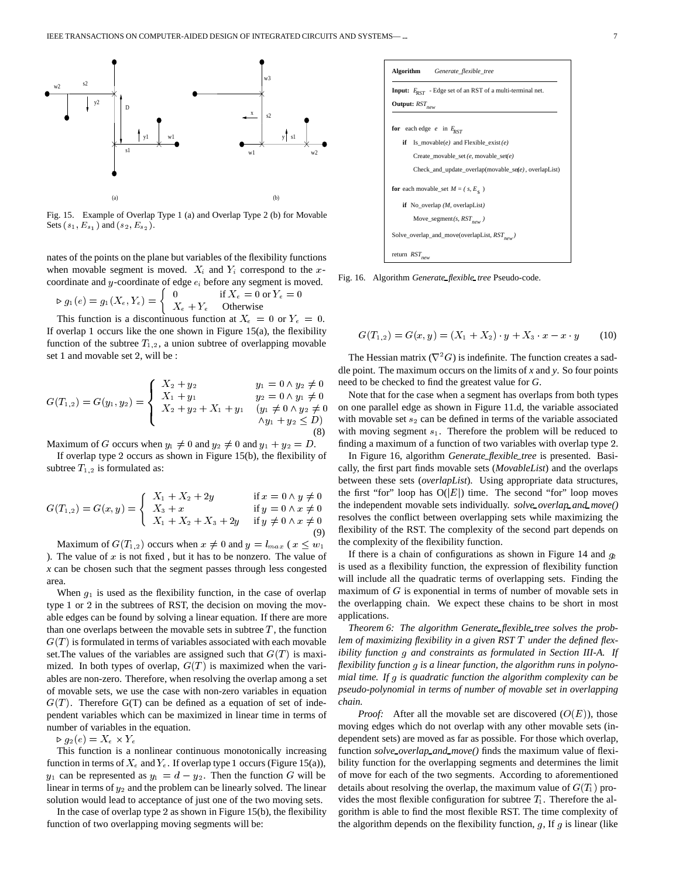

Fig. 15. Example of Overlap Type 1 (a) and Overlap Type 2 (b) for Movable Sets  $(s_1, E_{s_1})$  and  $(s_2, E_{s_2})$ .

nates of the points on the plane but variables of the flexibility functions when movable segment is moved.  $X_i$  and  $Y_i$  correspond to the xcoordinate and  $y$ -coordinate of edge  $e_i$  before any segment is moved.

$$
\triangleright g_1(e) = g_1(X_e, Y_e) = \begin{cases} 0 & \text{if } X_e = 0 \text{ or } Y_e = 0 \\ X_e + Y_e & \text{Otherwise} \end{cases}
$$

This function is a discontinuous function at  $X_e = 0$  or  $Y_e = 0$ . If overlap 1 occurs like the one shown in Figure  $15(a)$ , the flexibility function of the subtree  $T_{1,2}$ , a union subtree of overlapping movable set 1 and movable set 2, will be :

$$
G(T_{1,2}) = G(y_1, y_2) = \begin{cases} X_2 + y_2 & y_1 = 0 \land y_2 \neq 0 & \text{in } 0 \\ X_1 + y_1 & y_2 = 0 \land y_1 \neq 0 \\ X_2 + y_2 + X_1 + y_1 & (y_1 \neq 0 \land y_2 \neq 0 & \text{in } 0 \\ \land y_1 + y_2 \leq D) & \text{in } 0 \end{cases}
$$

Maximum of G occurs when  $y_1 \neq 0$  and  $y_2 \neq 0$  and  $y_1 + y_2 = D$ .

If overlap type 2 occurs as shown in Figure 15(b), the flexibility of subtree  $T_{1,2}$  is formulated as:

$$
G(T_{1,2}) = G(x,y) = \begin{cases} X_1 + X_2 + 2y & \text{if } x = 0 \land y \neq 0 \\ X_3 + x & \text{if } y = 0 \land x \neq 0 \\ X_1 + X_2 + X_3 + 2y & \text{if } y \neq 0 \land x \neq 0 \end{cases}
$$

Maximum of  $G(T_{1,2})$  occurs when  $x \neq 0$  and  $y = l_{max}$  ( $x \leq w_1$  the com ). The value of  $x$  is not fixed, but it has to be nonzero. The value of *x* can be chosen such that the segment passes through less congested area.

When  $q_1$  is used as the flexibility function, in the case of overlap type  $1$  or  $2$  in the subtrees of RST, the decision on moving the movable edges can be found by solving a linear equation. If there are more than one overlaps between the movable sets in subtree  $T$ , the function  $G(T)$  is formulated in terms of variables associated with each movable set. The values of the variables are assigned such that  $G(T)$  is maximized. In both types of overlap,  $G(T)$  is maximized when the variables are non-zero. Therefore, when resolving the overlap among a set of movable sets, we use the case with non-zero variables in equation  $G(T)$ . Therefore  $G(T)$  can be defined as a equation of set of independent variables which can be maximized in linear time in terms of number of variables in the equation.

 $\triangleright$   $q_2(e) = \Lambda_e \times Y_e$ 

This function is a nonlinear continuous monotonically increasing function in terms of  $X_e$  and  $Y_e$ . If overlap type 1 occurs (Figure 15(a)),  $y_1$  can be represented as  $y_1 = d - y_2$ . Then the function G will be of r linear in terms of  $y_2$  and the problem can be linearly solved. The linear solution would lead to acceptance of just one of the two moving sets.

In the case of overlap type 2 as shown in Figure 15(b), the flexibility function of two overlapping moving segments will be:



Fig. 16. Algorithm *Generate flexible tree* Pseudo-code.

$$
G(T_{1,2}) = G(x, y) = (X_1 + X_2) \cdot y + X_3 \cdot x - x \cdot y \tag{10}
$$

 need to be checked to find the greatest value for *G*. The Hessian matrix ( $\nabla^2 G$ ) is indefinite. The function creates a saddle point. The maximum occurs on the limits of *x* and *y*. So four points

 Note that for the case when a segment has overlaps from both types  $y_2 \neq 0$  on one parallel edge as shown in Figure 11.d, the variable associated  $y_1 + y_2 \lt D$  with movable set  $s_2$  can be defined in terms of the variable associated D. finding a maximum of a function of two variables with overlap type 2. with moving segment  $s_1$ . Therefore the problem will be reduced to

 $y \neq 0$  the first "for" loop has  $O(|E|)$  time. The second "for" loop moves  $x \neq 0$  the independent movable sets individually. *solve overlap and move*()  $\mathbf{v}$  and  $\mathbf{v}$  and  $\mathbf{v}$  and  $\mathbf{v}$  and  $\mathbf{v}$  and  $\mathbf{v}$  and  $\mathbf{v}$  and  $\mathbf{v}$  and  $\mathbf{v}$  and  $\mathbf{v}$  and  $\mathbf{v}$  and  $\mathbf{v}$  and  $\mathbf{v}$  and  $\mathbf{v}$  and  $\mathbf{v}$  and  $\mathbf{v}$  and  $\mathbf{v}$  and  $\mathbf{v}$  and  $\mathbf{v}$  and  $\mathbf{v}$  and  $\mathbf{v}$  and  $\mathbf{v}$  and  $\mathbf{v}$  and  $\mathbf{v}$  and  $\mathbf{v}$  and  $\mathbf{v}$  and  $\mathbf{v}$  and  $\mathbf{v}$  and  $\mathbf{v}$  and  $\mathbf{v}$  and  $\mathbf{v}$  and  $\mathbf{v}$  and  $\mathbf{v}$  and  $\mathbf{v}$  and In Figure 16, algorithm *Generate flexible tree* is presented. Basically, the first part finds movable sets (*MovableList*) and the overlaps between these sets (*overlapList*). Using appropriate data structures, resolves the conflict between overlapping sets while maximizing the flexibility of the RST. The complexity of the second part depends on the complexity of the flexibility function.

> If there is a chain of configurations as shown in Figure 14 and  $g_2$ is used as a flexibility function, the expression of flexibility function will include all the quadratic terms of overlapping sets. Finding the maximum of  $G$  is exponential in terms of number of movable sets in the overlapping chain. We expect these chains to be short in most applications.

> *Theorem 6: The algorithm Generate flexible tree solves the problem of maximizing flexibility in a given RST* <sup>T</sup> *under the defined flexibility function* <sup>g</sup> *and constraints as formulated in Section III-A. If flexibility function* <sup>g</sup> *is a linear function, the algorithm runs in polynomial time. If* <sup>g</sup> *is quadratic function the algorithm complexity can be pseudo-polynomial in terms of number of movable set in overlapping chain.*

> *Proof:* After all the movable set are discovered  $(O(E))$ , those moving edges which do not overlap with any other movable sets (independent sets) are moved as far as possible. For those which overlap, function *solve overlap and move()* finds the maximum value of flexibility function for the overlapping segments and determines the limit of move for each of the two segments. According to aforementioned details about resolving the overlap, the maximum value of  $G(T_1)$  provides the most flexible configuration for subtree  $T_1$ . Therefore the algorithm is able to find the most flexible RST. The time complexity of the algorithm depends on the flexibility function,  $g$ , If  $g$  is linear (like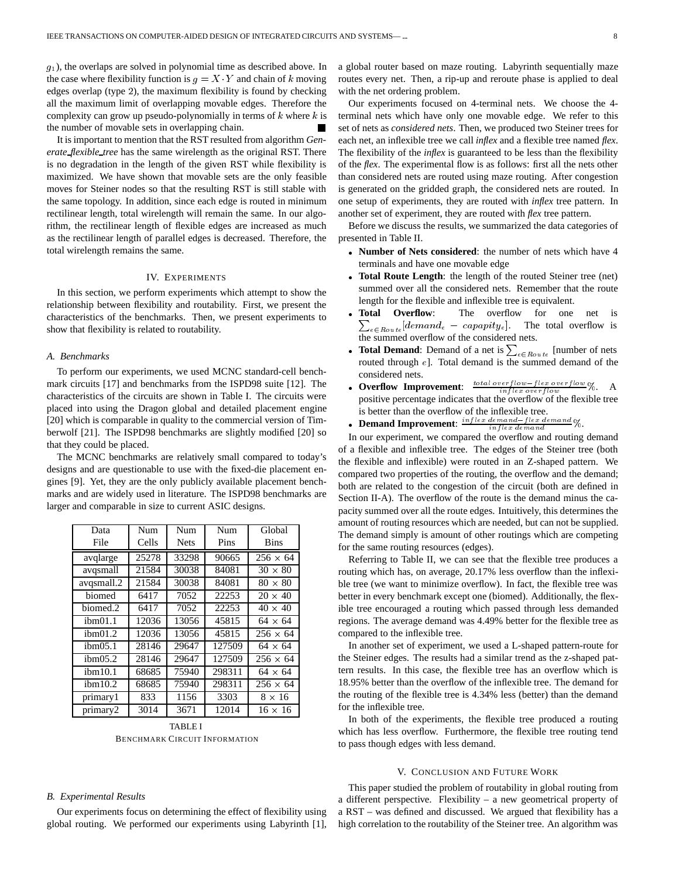$g_1$ ), the overlaps are solved in polynomial time as described above. In the case where flexibility function is  $g = X \cdot Y$  and chain of k moving edges overlap (type 2), the maximum flexibility is found by checking all the maximum limit of overlapping movable edges. Therefore the complexity can grow up pseudo-polynomially in terms of  $k$  where  $k$  is the number of movable sets in overlapping chain.

It is important to mention that the RST resulted from algorithm *Generate flexible tree* has the same wirelength as the original RST. There is no degradation in the length of the given RST while flexibility is maximized. We have shown that movable sets are the only feasible moves for Steiner nodes so that the resulting RST is still stable with the same topology. In addition, since each edge is routed in minimum rectilinear length, total wirelength will remain the same. In our algorithm, the rectilinear length of flexible edges are increased as much as the rectilinear length of parallel edges is decreased. Therefore, the total wirelength remains the same.

#### IV. EXPERIMENTS

In this section, we perform experiments which attempt to show the relationship between flexibility and routability. First, we present the characteristics of the benchmarks. Then, we present experiments to show that flexibility is related to routability.

#### *A. Benchmarks*

To perform our experiments, we used MCNC standard-cell benchmark circuits [17] and benchmarks from the ISPD98 suite [12]. The characteristics of the circuits are shown in Table I. The circuits were placed into using the Dragon global and detailed placement engine [20] which is comparable in quality to the commercial version of Timberwolf [21]. The ISPD98 benchmarks are slightly modified [20] so that they could be placed.

The MCNC benchmarks are relatively small compared to today's designs and are questionable to use with the fixed-die placement engines [9]. Yet, they are the only publicly available placement benchmarks and are widely used in literature. The ISPD98 benchmarks are larger and comparable in size to current ASIC designs.

| Data<br>File        | Num<br>Cells | <b>Num</b><br><b>Nets</b> | Num<br>Pins | Global<br><b>Bins</b> |
|---------------------|--------------|---------------------------|-------------|-----------------------|
| avglarge            | 25278        | 33298                     | 90665       | $256 \times 64$       |
| avqsmall            | 21584        | 30038                     | 84081       | $30 \times 80$        |
| avqsmall.2          | 21584        | 30038                     | 84081       | $80 \times 80$        |
| biomed              | 6417         | 7052                      | 22253       | $20 \times 40$        |
| biomed.2            | 6417         | 7052                      | 22253       | $40 \times 40$        |
| ibm01.1             | 12036        | 13056                     | 45815       | $64 \times 64$        |
| ibm <sub>01.2</sub> | 12036        | 13056                     | 45815       | $256 \times 64$       |
| ibm <sub>05.1</sub> | 28146        | 29647                     | 127509      | $64 \times 64$        |
| ibm05.2             | 28146        | 29647                     | 127509      | $256 \times 64$       |
| ibm10.1             | 68685        | 75940                     | 298311      | $64 \times 64$        |
| ibm10.2             | 68685        | 75940                     | 298311      | $256 \times 64$       |
| primary1            | 833          | 1156                      | 3303        | $8 \times 16$         |
| primary2            | 3014         | 3671                      | 12014       | $16 \times 16$        |

TABLE I BENCHMARK CIRCUIT INFORMATION

# *B. Experimental Results*

Our experiments focus on determining the effect of flexibility using global routing. We performed our experiments using Labyrinth [1], a global router based on maze routing. Labyrinth sequentially maze routes every net. Then, a rip-up and reroute phase is applied to deal with the net ordering problem.

Our experiments focused on 4-terminal nets. We choose the 4 terminal nets which have only one movable edge. We refer to this set of nets as *considered nets*. Then, we produced two Steiner trees for each net, an inflexible tree we call *inflex* and a flexible tree named *flex*. The flexibility of the *inflex* is guaranteed to be less than the flexibility of the *flex*. The experimental flow is as follows: first all the nets other than considered nets are routed using maze routing. After congestion is generated on the gridded graph, the considered nets are routed. In one setup of experiments, they are routed with *inflex* tree pattern. In another set of experiment, they are routed with *flex* tree pattern.

Before we discuss the results, we summarized the data categories of presented in Table II.

- **Number of Nets considered**: the number of nets which have 4 terminals and have one movable edge
- **Total Route Length**: the length of the routed Steiner tree (net) summed over all the considered nets. Remember that the route length for the flexible and inflexible tree is equivalent.
- **Total Overflow**  $\sum_{e \in R_{oute}} [demand_e - capapity_e]$ . The total overflow is The overflow for one net is the summed overflow of the considered nets.
- **Total Demand**: Demand of a net is  $\sum_{e \in R_{out}e}$  [number of nets routed through <sup>e</sup>]. Total demand is the summed demand of the considered nets.
- **Overflow Improvement**:  $\frac{total\ over flow flex\ over flow}{in flex\ over flow}\%$ . A positive percentage indicates that the overflow of the flexible tree is better than the overflow of the inflexible tree.
- **Demand Improvement**:  $\frac{inflex\ demand flex\ demand}{inflex\ demand}$ %.

In our experiment, we compared the overflow and routing demand of a flexible and inflexible tree. The edges of the Steiner tree (both the flexible and inflexible) were routed in an Z-shaped pattern. We compared two properties of the routing, the overflow and the demand; both are related to the congestion of the circuit (both are defined in Section II-A). The overflow of the route is the demand minus the capacity summed over all the route edges. Intuitively, this determines the amount of routing resources which are needed, but can not be supplied. The demand simply is amount of other routings which are competing for the same routing resources (edges).

Referring to Table II, we can see that the flexible tree produces a routing which has, on average, 20.17% less overflow than the inflexible tree (we want to minimize overflow). In fact, the flexible tree was better in every benchmark except one (biomed). Additionally, the flexible tree encouraged a routing which passed through less demanded regions. The average demand was 4.49% better for the flexible tree as compared to the inflexible tree.

In another set of experiment, we used a L-shaped pattern-route for the Steiner edges. The results had a similar trend as the z-shaped pattern results. In this case, the flexible tree has an overflow which is 18.95% better than the overflow of the inflexible tree. The demand for the routing of the flexible tree is 4.34% less (better) than the demand for the inflexible tree.

In both of the experiments, the flexible tree produced a routing which has less overflow. Furthermore, the flexible tree routing tend to pass though edges with less demand.

#### V. CONCLUSION AND FUTURE WORK

This paper studied the problem of routability in global routing from a different perspective. Flexibility – a new geometrical property of a RST – was defined and discussed. We argued that flexibility has a high correlation to the routability of the Steiner tree. An algorithm was